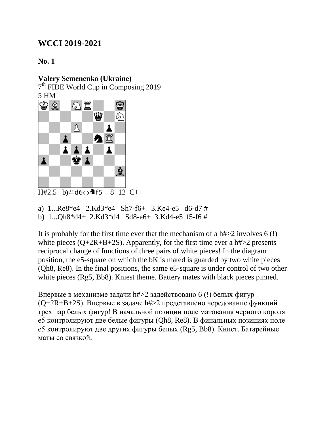### **No. 1**

### **Valery Semenenko (Ukraine)**

7<sup>th</sup> FIDE World Cup in Composing 2019 5 HM



```
H#2.5 b)\triangled6\leftrightarrow4f5 8+12 C+
```
a) 1...Re8\*e4 2.Kd3\*e4 Sh7-f6+ 3.Ke4-e5 d6-d7 # b) 1...Qh8\*d4+ 2.Kd3\*d4 Sd8-e6+ 3.Kd4-e5 f5-f6 #

It is probably for the first time ever that the mechanism of a h#>2 involves 6 (!) white pieces  $(Q+2R+B+2S)$ . Apparently, for the first time ever a h# $>2$  presents reciprocal change of functions of three pairs of white pieces! In the diagram position, the e5-square on which the bK is mated is guarded by two white pieces (Qh8, Re8). In the final positions, the same e5-square is under control of two other white pieces (Rg5, Bb8). Kniest theme. Battery mates with black pieces pinned.

Впервые в механизме задачи h#>2 задействовано 6 (!) белых фигур (Q+2R+B+2S). Впервые в задаче h#>2 представлено чередование функций трех пар белых фигур! В начальной позиции поле матования черного короля е5 контролируют две белые фигуры (Qh8, Re8). В финальных позициях поле е5 контролируют две других фигуры белых (Rg5, Bb8). Книст. Батарейные маты со связкой.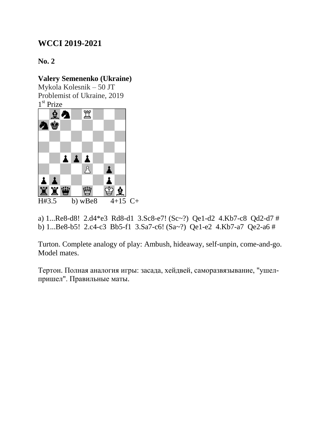## **No. 2**

### **Valery Semenenko (Ukraine)**

Mykola Kolesnik – 50 JT Problemist of Ukraine, 2019 1 st Prize



a) 1...Re8-d8! 2.d4\*e3 Rd8-d1 3.Sc8-e7! (Sc~?) Qe1-d2 4.Kb7-c8 Qd2-d7 # b) 1...Be8-b5! 2.c4-c3 Bb5-f1 3.Sa7-c6! (Sa~?) Qe1-e2 4.Kb7-a7 Qe2-a6 #

Turton. Complete analogy of play: Ambush, hideaway, self-unpin, come-and-go. Model mates.

Тертон. Полная аналогия игры: засада, хейдвей, саморазвязывание, "ушелпришел". Правильные маты.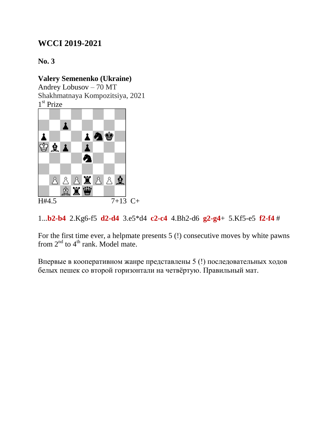**No. 3**

#### **Valery Semenenko (Ukraine)**

Andrey Lobusov – 70 MT Shakhmatnaya Kompozitsiya, 2021 1 st Prize



1...**b2-b4** 2.Kg6-f5 **d2-d4** 3.e5\*d4 **c2-c4** 4.Bh2-d6 **g2-g4**+ 5.Kf5-e5 **f2-f4** #

For the first time ever, a helpmate presents 5 (!) consecutive moves by white pawns from  $2<sup>nd</sup>$  to  $4<sup>th</sup>$  rank. Model mate.

Впервые в кооперативном жанре представлены 5 (!) последовательных ходов белых пешек со второй горизонтали на четвёртую. Правильный мат.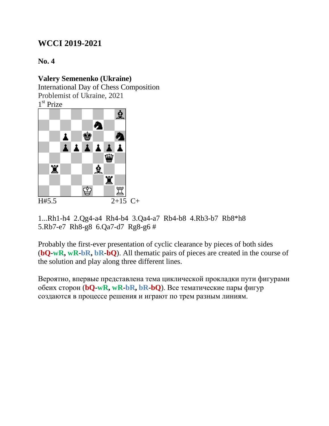**No. 4**

### **Valery Semenenko (Ukraine)**

International Day of Chess Composition Problemist of Ukraine, 2021

1 st Prize



1...Rh1-h4 2.Qg4-a4 Rh4-b4 3.Qa4-a7 Rb4-b8 4.Rb3-b7 Rb8\*h8 5.Rb7-e7 Rh8-g8 6.Qa7-d7 Rg8-g6 #

Probably the first-ever presentation of cyclic clearance by pieces of both sides (**bQ-wR, wR-bR, bR-bQ**). All thematic pairs of pieces are created in the course of the solution and play along three different lines.

Вероятно, впервые представлена тема циклической прокладки пути фигурами обеих сторон (**bQ-wR, wR-bR, bR-bQ**). Все тематические пары фигур создаются в процессе решения и играют по трем разным линиям.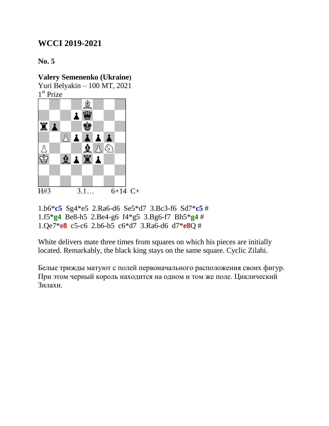**No. 5**

**Valery Semenenko (Ukraine)**  Yuri Belyakin – 100 MT, 2021

1 st Prize



1.b6\***c5** Sg4\*e5 2.Ra6-d6 Se5\*d7 3.Bc3-f6 Sd7\***c5** # 1.f5\***g4** Be8-h5 2.Be4-g6 f4\*g5 3.Bg6-f7 Bh5\***g4** # 1.Qe7\***e8** c5-c6 2.b6-b5 c6\*d7 3.Ra6-d6 d7\***e8**Q #

White delivers mate three times from squares on which his pieces are initially located. Remarkably, the black king stays on the same square. Cyclic Zilahi.

Белые трижды матуют с полей первоначального расположения своих фигур. При этом черный король находится на одном и том же поле. Циклический Зилахи.